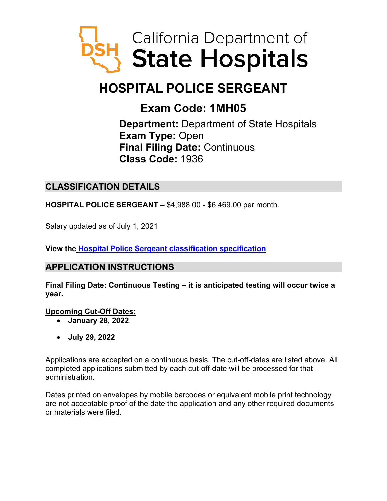

# **HOSPITAL POLICE SERGEANT**

## **Exam Code: 1MH05**

**Department:** Department of State Hospitals **Exam Type:** Open **Final Filing Date:** Continuous **Class Code:** 1936

## **CLASSIFICATION DETAILS**

**HOSPITAL POLICE SERGEANT –** \$4,988.00 - \$6,469.00 per month.

Salary updated as of July 1, 2021

**View the Hospital Police Sergeant [classification specification](https://www.calhr.ca.gov/state-hr-professionals/Pages/1937.aspx)**

## **APPLICATION INSTRUCTIONS**

**Final Filing Date: Continuous Testing – it is anticipated testing will occur twice a year.** 

**Upcoming Cut-Off Dates:**

- **January 28, 2022**
- **July 29, 2022**

Applications are accepted on a continuous basis. The cut-off-dates are listed above. All completed applications submitted by each cut-off-date will be processed for that administration.

Dates printed on envelopes by mobile barcodes or equivalent mobile print technology are not acceptable proof of the date the application and any other required documents or materials were filed.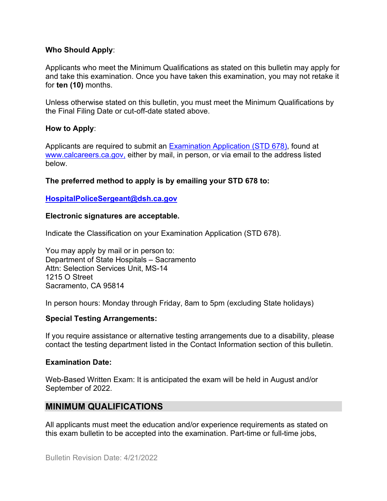#### **Who Should Apply**:

Applicants who meet the Minimum Qualifications as stated on this bulletin may apply for and take this examination. Once you have taken this examination, you may not retake it for **ten (10)** months.

Unless otherwise stated on this bulletin, you must meet the Minimum Qualifications by the Final Filing Date or cut-off-date stated above.

#### **How to Apply**:

Applicants are required to submit an [Examination Application \(STD 678\),](https://jobs.ca.gov/pdf/std678.pdf) found at [www.calcareers.ca.gov,](http://www.calcareers.ca.gov/) either by mail, in person, or via email to the address listed below.

#### **The preferred method to apply is by emailing your STD 678 to:**

#### **[HospitalPoliceSergeant@dsh.ca.gov](mailto:HospitalPoliceSergeant@dsh.ca.gov)**

#### **Electronic signatures are acceptable.**

Indicate the Classification on your Examination Application (STD 678).

You may apply by mail or in person to: Department of State Hospitals – Sacramento Attn: Selection Services Unit, MS-14 1215 O Street Sacramento, CA 95814

In person hours: Monday through Friday, 8am to 5pm (excluding State holidays)

#### **Special Testing Arrangements:**

If you require assistance or alternative testing arrangements due to a disability, please contact the testing department listed in the Contact Information section of this bulletin.

#### **Examination Date:**

Web-Based Written Exam: It is anticipated the exam will be held in August and/or September of 2022.

#### **MINIMUM QUALIFICATIONS**

All applicants must meet the education and/or experience requirements as stated on this exam bulletin to be accepted into the examination. Part-time or full-time jobs,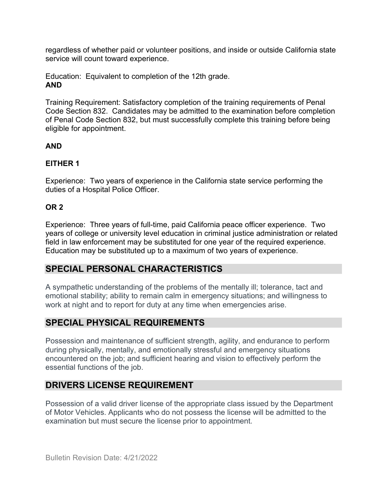regardless of whether paid or volunteer positions, and inside or outside California state service will count toward experience.

Education: Equivalent to completion of the 12th grade. **AND** 

Training Requirement: Satisfactory completion of the training requirements of Penal Code Section 832. Candidates may be admitted to the examination before completion of Penal Code Section 832, but must successfully complete this training before being eligible for appointment.

#### **AND**

#### **EITHER 1**

Experience: Two years of experience in the California state service performing the duties of a Hospital Police Officer.

#### **OR 2**

Experience: Three years of full-time, paid California peace officer experience. Two years of college or university level education in criminal justice administration or related field in law enforcement may be substituted for one year of the required experience. Education may be substituted up to a maximum of two years of experience.

## **SPECIAL PERSONAL CHARACTERISTICS**

A sympathetic understanding of the problems of the mentally ill; tolerance, tact and emotional stability; ability to remain calm in emergency situations; and willingness to work at night and to report for duty at any time when emergencies arise.

## **SPECIAL PHYSICAL REQUIREMENTS**

Possession and maintenance of sufficient strength, agility, and endurance to perform during physically, mentally, and emotionally stressful and emergency situations encountered on the job; and sufficient hearing and vision to effectively perform the essential functions of the job.

## **DRIVERS LICENSE REQUIREMENT**

Possession of a valid driver license of the appropriate class issued by the Department of Motor Vehicles. Applicants who do not possess the license will be admitted to the examination but must secure the license prior to appointment.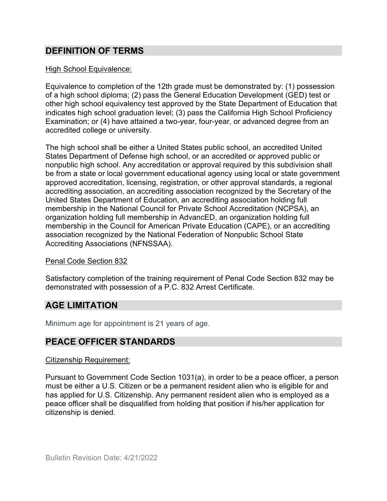## **DEFINITION OF TERMS**

#### High School Equivalence:

Equivalence to completion of the 12th grade must be demonstrated by: (1) possession of a high school diploma; (2) pass the General Education Development (GED) test or other high school equivalency test approved by the State Department of Education that indicates high school graduation level; (3) pass the California High School Proficiency Examination; or (4) have attained a two-year, four-year, or advanced degree from an accredited college or university.

The high school shall be either a United States public school, an accredited United States Department of Defense high school, or an accredited or approved public or nonpublic high school. Any accreditation or approval required by this subdivision shall be from a state or local government educational agency using local or state government approved accreditation, licensing, registration, or other approval standards, a regional accrediting association, an accrediting association recognized by the Secretary of the United States Department of Education, an accrediting association holding full membership in the National Council for Private School Accreditation (NCPSA), an organization holding full membership in AdvancED, an organization holding full membership in the Council for American Private Education (CAPE), or an accrediting association recognized by the National Federation of Nonpublic School State Accrediting Associations (NFNSSAA).

#### Penal Code Section 832

Satisfactory completion of the training requirement of Penal Code Section 832 may be demonstrated with possession of a P.C. 832 Arrest Certificate.

## **AGE LIMITATION**

Minimum age for appointment is 21 years of age.

## **PEACE OFFICER STANDARDS**

#### Citizenship Requirement:

Pursuant to Government Code Section 1031(a), in order to be a peace officer, a person must be either a U.S. Citizen or be a permanent resident alien who is eligible for and has applied for U.S. Citizenship. Any permanent resident alien who is employed as a peace officer shall be disqualified from holding that position if his/her application for citizenship is denied.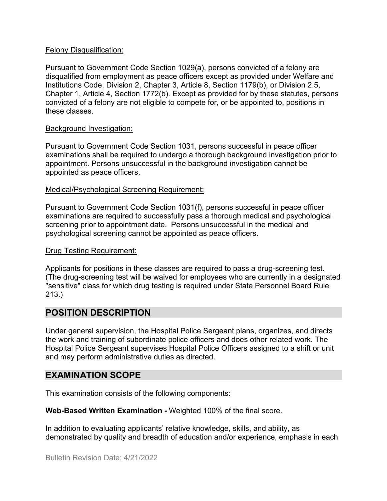#### Felony Disqualification:

Pursuant to Government Code Section 1029(a), persons convicted of a felony are disqualified from employment as peace officers except as provided under Welfare and Institutions Code, Division 2, Chapter 3, Article 8, Section 1179(b), or Division 2.5, Chapter 1, Article 4, Section 1772(b). Except as provided for by these statutes, persons convicted of a felony are not eligible to compete for, or be appointed to, positions in these classes.

#### Background Investigation:

Pursuant to Government Code Section 1031, persons successful in peace officer examinations shall be required to undergo a thorough background investigation prior to appointment. Persons unsuccessful in the background investigation cannot be appointed as peace officers.

#### Medical/Psychological Screening Requirement:

Pursuant to Government Code Section 1031(f), persons successful in peace officer examinations are required to successfully pass a thorough medical and psychological screening prior to appointment date. Persons unsuccessful in the medical and psychological screening cannot be appointed as peace officers.

#### Drug Testing Requirement:

Applicants for positions in these classes are required to pass a drug-screening test. (The drug-screening test will be waived for employees who are currently in a designated "sensitive" class for which drug testing is required under State Personnel Board Rule 213.)

## **POSITION DESCRIPTION**

Under general supervision, the Hospital Police Sergeant plans, organizes, and directs the work and training of subordinate police officers and does other related work. The Hospital Police Sergeant supervises Hospital Police Officers assigned to a shift or unit and may perform administrative duties as directed.

## **EXAMINATION SCOPE**

This examination consists of the following components:

**Web-Based Written Examination -** Weighted 100% of the final score.

In addition to evaluating applicants' relative knowledge, skills, and ability, as demonstrated by quality and breadth of education and/or experience, emphasis in each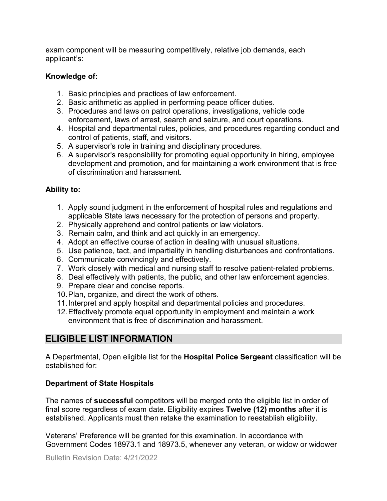exam component will be measuring competitively, relative job demands, each applicant's:

#### **Knowledge of:**

- 1. Basic principles and practices of law enforcement.
- 2. Basic arithmetic as applied in performing peace officer duties.
- 3. Procedures and laws on patrol operations, investigations, vehicle code enforcement, laws of arrest, search and seizure, and court operations.
- 4. Hospital and departmental rules, policies, and procedures regarding conduct and control of patients, staff, and visitors.
- 5. A supervisor's role in training and disciplinary procedures.
- 6. A supervisor's responsibility for promoting equal opportunity in hiring, employee development and promotion, and for maintaining a work environment that is free of discrimination and harassment.

#### **Ability to:**

- 1. Apply sound judgment in the enforcement of hospital rules and regulations and applicable State laws necessary for the protection of persons and property.
- 2. Physically apprehend and control patients or law violators.
- 3. Remain calm, and think and act quickly in an emergency.
- 4. Adopt an effective course of action in dealing with unusual situations.
- 5. Use patience, tact, and impartiality in handling disturbances and confrontations.
- 6. Communicate convincingly and effectively.
- 7. Work closely with medical and nursing staff to resolve patient-related problems.
- 8. Deal effectively with patients, the public, and other law enforcement agencies.
- 9. Prepare clear and concise reports.
- 10.Plan, organize, and direct the work of others.
- 11.Interpret and apply hospital and departmental policies and procedures.
- 12.Effectively promote equal opportunity in employment and maintain a work environment that is free of discrimination and harassment.

## **ELIGIBLE LIST INFORMATION**

A Departmental, Open eligible list for the **Hospital Police Sergeant** classification will be established for:

#### **Department of State Hospitals**

The names of **successful** competitors will be merged onto the eligible list in order of final score regardless of exam date. Eligibility expires **Twelve (12) months** after it is established. Applicants must then retake the examination to reestablish eligibility.

Veterans' Preference will be granted for this examination. In accordance with Government Codes 18973.1 and 18973.5, whenever any veteran, or widow or widower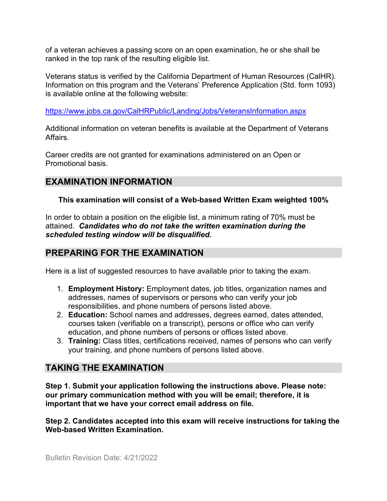of a veteran achieves a passing score on an open examination, he or she shall be ranked in the top rank of the resulting eligible list.

Veterans status is verified by the California Department of Human Resources (CalHR). Information on this program and the Veterans' Preference Application (Std. form 1093) is available online at the following website:

<https://www.jobs.ca.gov/CalHRPublic/Landing/Jobs/VeteransInformation.aspx>

Additional information on veteran benefits is available at the Department of Veterans Affairs.

Career credits are not granted for examinations administered on an Open or Promotional basis.

## **EXAMINATION INFORMATION**

## **This examination will consist of a Web-based Written Exam weighted 100%**

In order to obtain a position on the eligible list, a minimum rating of 70% must be attained. *Candidates who do not take the written examination during the scheduled testing window will be disqualified.*

## **PREPARING FOR THE EXAMINATION**

Here is a list of suggested resources to have available prior to taking the exam.

- 1. **Employment History:** Employment dates, job titles, organization names and addresses, names of supervisors or persons who can verify your job responsibilities, and phone numbers of persons listed above.
- 2. **Education:** School names and addresses, degrees earned, dates attended, courses taken (verifiable on a transcript), persons or office who can verify education, and phone numbers of persons or offices listed above.
- 3. **Training:** Class titles, certifications received, names of persons who can verify your training, and phone numbers of persons listed above.

## **TAKING THE EXAMINATION**

**Step 1. Submit your application following the instructions above. Please note: our primary communication method with you will be email; therefore, it is important that we have your correct email address on file.**

**Step 2. Candidates accepted into this exam will receive instructions for taking the Web-based Written Examination.**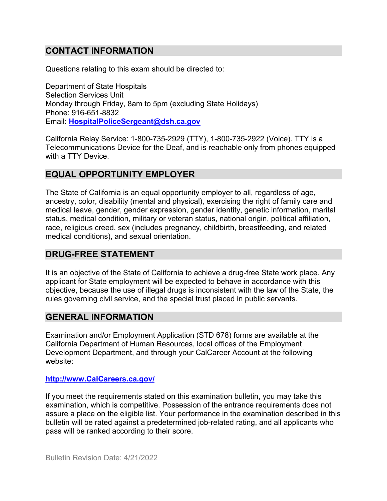## **CONTACT INFORMATION**

Questions relating to this exam should be directed to:

Department of State Hospitals Selection Services Unit Monday through Friday, 8am to 5pm (excluding State Holidays) Phone: 916-651-8832 Email: **[HospitalPoliceSergeant@dsh.ca.gov](mailto:HospitalPoliceSergeant@dsh.ca.gov)**

California Relay Service: 1-800-735-2929 (TTY), 1-800-735-2922 (Voice). TTY is a Telecommunications Device for the Deaf, and is reachable only from phones equipped with a TTY Device.

## **EQUAL OPPORTUNITY EMPLOYER**

The State of California is an equal opportunity employer to all, regardless of age, ancestry, color, disability (mental and physical), exercising the right of family care and medical leave, gender, gender expression, gender identity, genetic information, marital status, medical condition, military or veteran status, national origin, political affiliation, race, religious creed, sex (includes pregnancy, childbirth, breastfeeding, and related medical conditions), and sexual orientation.

#### **DRUG-FREE STATEMENT**

It is an objective of the State of California to achieve a drug-free State work place. Any applicant for State employment will be expected to behave in accordance with this objective, because the use of illegal drugs is inconsistent with the law of the State, the rules governing civil service, and the special trust placed in public servants.

#### **GENERAL INFORMATION**

Examination and/or Employment Application (STD 678) forms are available at the California Department of Human Resources, local offices of the Employment Development Department, and through your CalCareer Account at the following website:

#### **[http://www.CalCareers.ca.gov/](http://www.calcareers.ca.gov/)**

If you meet the requirements stated on this examination bulletin, you may take this examination, which is competitive. Possession of the entrance requirements does not assure a place on the eligible list. Your performance in the examination described in this bulletin will be rated against a predetermined job-related rating, and all applicants who pass will be ranked according to their score.